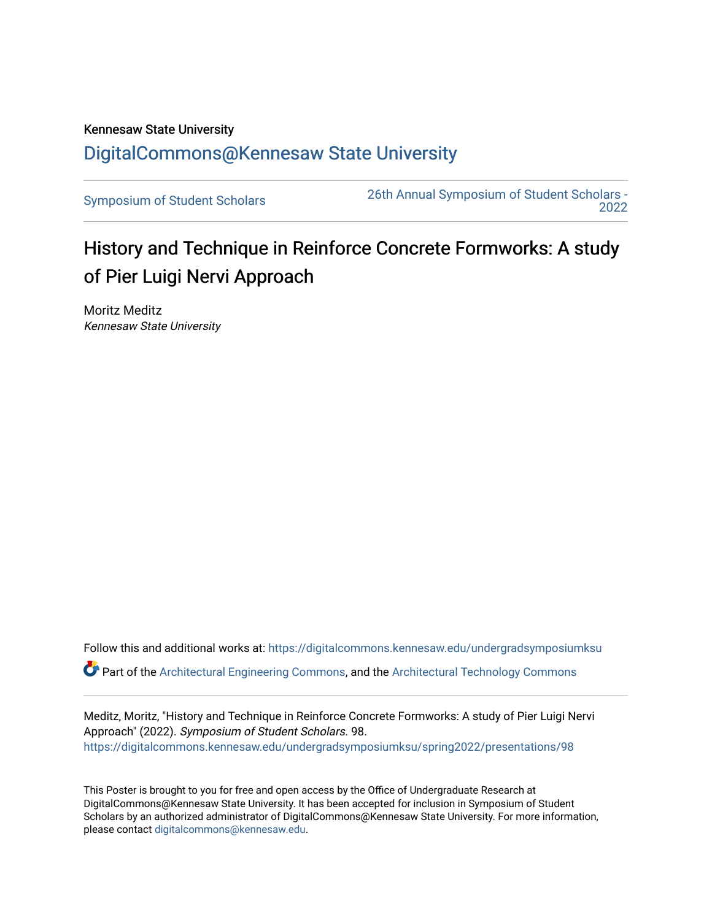## Kennesaw State University [DigitalCommons@Kennesaw State University](https://digitalcommons.kennesaw.edu/)

[Symposium of Student Scholars](https://digitalcommons.kennesaw.edu/undergradsymposiumksu) [26th Annual Symposium of Student Scholars -](https://digitalcommons.kennesaw.edu/undergradsymposiumksu/spring2022)  [2022](https://digitalcommons.kennesaw.edu/undergradsymposiumksu/spring2022) 

## History and Technique in Reinforce Concrete Formworks: A study of Pier Luigi Nervi Approach

Moritz Meditz Kennesaw State University

Follow this and additional works at: [https://digitalcommons.kennesaw.edu/undergradsymposiumksu](https://digitalcommons.kennesaw.edu/undergradsymposiumksu?utm_source=digitalcommons.kennesaw.edu%2Fundergradsymposiumksu%2Fspring2022%2Fpresentations%2F98&utm_medium=PDF&utm_campaign=PDFCoverPages) 

 $\bullet$  Part of the [Architectural Engineering Commons](http://network.bepress.com/hgg/discipline/774?utm_source=digitalcommons.kennesaw.edu%2Fundergradsymposiumksu%2Fspring2022%2Fpresentations%2F98&utm_medium=PDF&utm_campaign=PDFCoverPages), and the [Architectural Technology Commons](http://network.bepress.com/hgg/discipline/1194?utm_source=digitalcommons.kennesaw.edu%2Fundergradsymposiumksu%2Fspring2022%2Fpresentations%2F98&utm_medium=PDF&utm_campaign=PDFCoverPages)

Meditz, Moritz, "History and Technique in Reinforce Concrete Formworks: A study of Pier Luigi Nervi Approach" (2022). Symposium of Student Scholars. 98. [https://digitalcommons.kennesaw.edu/undergradsymposiumksu/spring2022/presentations/98](https://digitalcommons.kennesaw.edu/undergradsymposiumksu/spring2022/presentations/98?utm_source=digitalcommons.kennesaw.edu%2Fundergradsymposiumksu%2Fspring2022%2Fpresentations%2F98&utm_medium=PDF&utm_campaign=PDFCoverPages) 

This Poster is brought to you for free and open access by the Office of Undergraduate Research at DigitalCommons@Kennesaw State University. It has been accepted for inclusion in Symposium of Student Scholars by an authorized administrator of DigitalCommons@Kennesaw State University. For more information, please contact [digitalcommons@kennesaw.edu.](mailto:digitalcommons@kennesaw.edu)